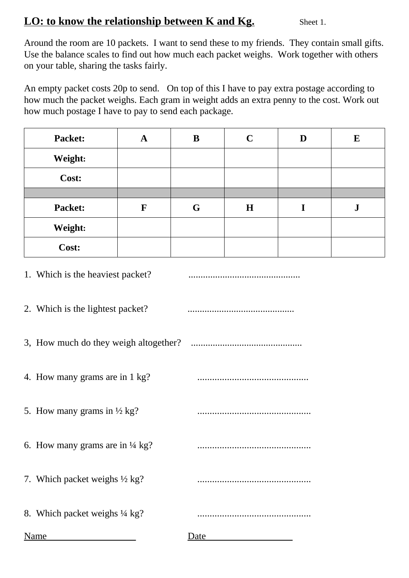## **LO: to know the relationship between K and Kg.** Sheet 1.

Around the room are 10 packets. I want to send these to my friends. They contain small gifts. Use the balance scales to find out how much each packet weighs. Work together with others on your table, sharing the tasks fairly.

An empty packet costs 20p to send. On top of this I have to pay extra postage according to how much the packet weighs. Each gram in weight adds an extra penny to the cost. Work out how much postage I have to pay to send each package.

| Packet: | A | B | $\mathbf C$ | D | E         |
|---------|---|---|-------------|---|-----------|
| Weight: |   |   |             |   |           |
| Cost:   |   |   |             |   |           |
|         |   |   |             |   |           |
| Packet: | F | G | H           |   | ${\bf J}$ |
| Weight: |   |   |             |   |           |
| Cost:   |   |   |             |   |           |

|  |  | 1. Which is the heaviest packet? |  |
|--|--|----------------------------------|--|
|--|--|----------------------------------|--|

2. Which is the lightest packet? ............................................

3, How much do they weigh altogether? ..............................................

4. How many grams are in 1 kg? .............................................

5. How many grams in ½ kg? ..............................................

6. How many grams are in ¼ kg? ..............................................

7. Which packet weighs ½ kg? ..............................................

8. Which packet weighs ¼ kg? ..............................................

Name Date